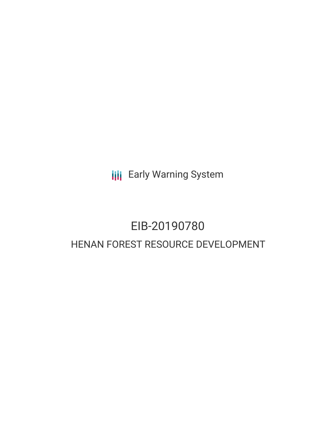**III** Early Warning System

## EIB-20190780 HENAN FOREST RESOURCE DEVELOPMENT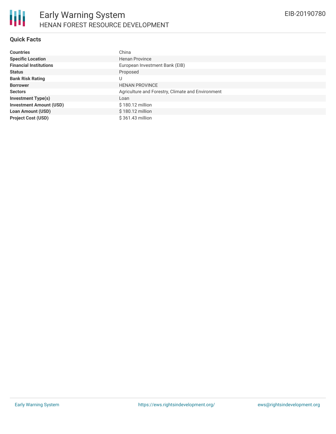## **Quick Facts**

| <b>Countries</b>               | China                                             |
|--------------------------------|---------------------------------------------------|
| <b>Specific Location</b>       | <b>Henan Province</b>                             |
| <b>Financial Institutions</b>  | European Investment Bank (EIB)                    |
| <b>Status</b>                  | Proposed                                          |
| <b>Bank Risk Rating</b>        | U                                                 |
| <b>Borrower</b>                | <b>HENAN PROVINCE</b>                             |
| <b>Sectors</b>                 | Agriculture and Forestry, Climate and Environment |
| <b>Investment Type(s)</b>      | Loan                                              |
| <b>Investment Amount (USD)</b> | \$180.12 million                                  |
| <b>Loan Amount (USD)</b>       | \$180.12 million                                  |
| <b>Project Cost (USD)</b>      | $$361.43$ million                                 |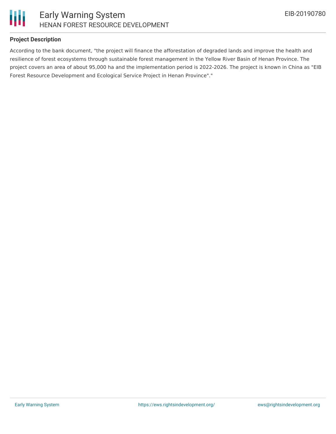

## **Project Description**

According to the bank document, "the project will finance the afforestation of degraded lands and improve the health and resilience of forest ecosystems through sustainable forest management in the Yellow River Basin of Henan Province. The project covers an area of about 95,000 ha and the implementation period is 2022-2026. The project is known in China as "EIB Forest Resource Development and Ecological Service Project in Henan Province"."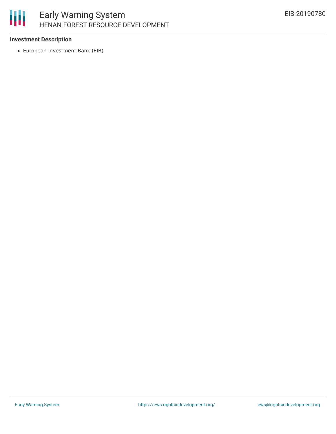# 朋

## Early Warning System HENAN FOREST RESOURCE DEVELOPMENT

## **Investment Description**

European Investment Bank (EIB)